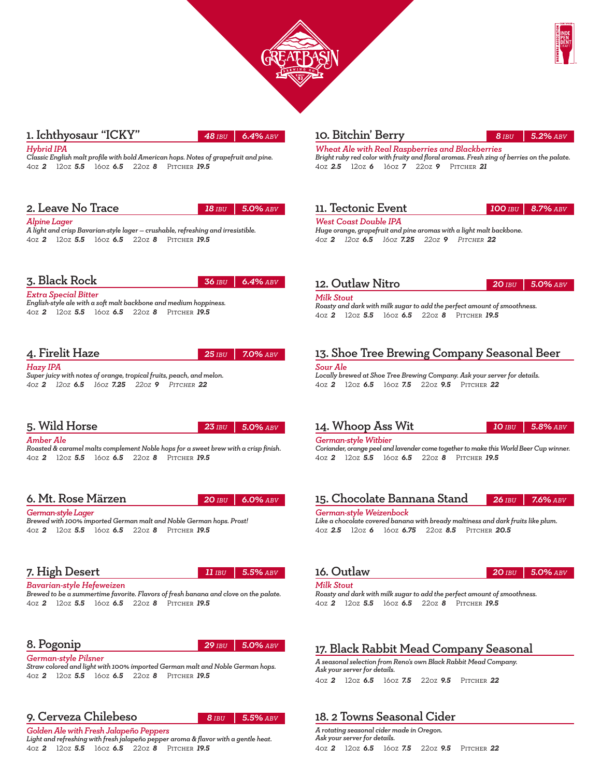



#### 1. Ichthyosaur "ICKY"

*48 IBU 6.4%abv*

*Hybrid IPA* 

*Classic English malt profile with bold American hops. Notes of grapefruit and pine.*  4OZ *2* 12OZ *5.5* 16OZ *6.5* 22OZ *8* Pitcher *19.5*

## 2. Leave No Trace

*18 IBU 5.0%abv*

#### *Alpine Lager*

*A light and crisp Bavarian-style lager — crushable, refreshing and irresistible.* 4OZ *2* 12OZ *5.5* 16OZ *6.5* 22OZ *8* Pitcher *19.5*

#### 3. Black Rock

*5.0%abv 36 IBU 6.4%*

#### *Extra Special Bitter*

*English-style ale with a soft malt backbone and medium hoppiness.* 4OZ *2* 12OZ *5.5* 16OZ *6.5* 22OZ *8* Pitcher *19.5*

## 4. Firelit Haze

*25 IBU 7.0%abv*

*Hazy IPA Super juicy with notes of orange, tropical fruits, peach, and melon. 4OZ 2 12OZ 6.5 16OZ 7.25 22OZ 9 Pitcher 22*

# 5. Wild Horse

*23 IBU 5.0%abv*

#### *Amber Ale*

*Roasted & caramel malts complement Noble hops for a sweet brew with a crisp finish.* 4OZ *2* 12OZ *5.5* 16OZ *6.5* 22OZ *8* Pitcher *19.5*

## 6. Mt. Rose Märzen

*20 IBU 6.0%abv*

#### *German-style Lager*

*Brewed with 100% imported German malt and Noble German hops. Prost!*  4OZ *2* 12OZ *5.5* 16OZ *6.5* 22OZ *8* Pitcher *19.5*

## 7. High Desert

*11IBU 5.5%abv*

*29 IBU 5.0%abv*

#### *Bavarian-style Hefeweizen*

*Brewed to be a summertime favorite. Flavors of fresh banana and clove on the palate.* 4OZ *2* 12OZ *5.5* 16OZ *6.5* 22OZ *8* Pitcher *19.5*

## 8. Pogonip

*German-style Pilsner* 

*Straw colored and light with 100% imported German malt and Noble German hops.* 4OZ *2* 12OZ *5.5* 16OZ *6.5* 22OZ *8* Pitcher *19.5*

# 9. Cerveza Chilebeso

*8 IBU 5.5%abv*

*Golden Ale with Fresh Jalapeño Peppers Light and refreshing with fresh jalapeño pepper aroma & flavor with a gentle heat.* 4OZ *2* 12OZ *5.5* 16OZ *6.5* 22OZ *8* Pitcher *19.5*

## 10. Bitchin' Berry

#### *8 IBU 5.2%abv*

*Wheat Ale with Real Raspberries and Blackberries Bright ruby red color with fruity and floral aromas. Fresh zing of berries on the palate.* 4OZ *2.5* 12OZ *6* 16OZ *7* 22OZ *9* Pitcher *21*

## 11. Tectonic Event

#### *100 IBU 8.7%abv*

*West Coast Double IPA Huge orange, grapefruit and pine aromas with a light malt backbone. 4OZ 2 12OZ 6.5 16OZ 7.25 22OZ 9 Pitcher 22*

#### 12. Outlaw Nitro

*20 IBU 5.0%abv*

## *Milk Stout*

*Roasty and dark with milk sugar to add the perfect amount of smoothness.*  4OZ *2* 12OZ *5.5* 16OZ *6.5* 22OZ *8* Pitcher *19.5*

# 13. Shoe Tree Brewing Company Seasonal Beer

*Sour Ale Locally brewed at Shoe Tree Brewing Company. Ask your server for details.* 4OZ *2* 12OZ *6.5* 16OZ *7.5* 22OZ *9.5* Pitcher *22*

#### 14. Whoop Ass Wit

*German-style Witbier*

*10 IBU 5.8%abv*

*Coriander, orange peel and lavender come together to make this World Beer Cup winner.* 4OZ *2* 12OZ *5.5* 16OZ *6.5* 22OZ *8* Pitcher *19.5*

#### 15. Chocolate Bannana Stand *26 IBU 7.6%abv*

#### *German-style Weizenbock*

*Like a chocolate covered banana with bready maltiness and dark fruits like plum.* 4OZ *2.5* 12OZ *6* 16OZ *6.75* 22OZ *8.5* Pitcher *20.5*

#### 16. Outlaw

*20 IBU 5.0%abv*

#### *Milk Stout*

*Roasty and dark with milk sugar to add the perfect amount of smoothness.*  4OZ *2* 12OZ *5.5* 16OZ *6.5* 22OZ *8* Pitcher *19.5*

# 17. Black Rabbit Mead Company Seasonal

*A seasonal selection from Reno's own Black Rabbit Mead Company. Ask your server for details.* 4OZ *2* 12OZ *6.5* 16OZ *7.5* 22OZ *9.5* Pitcher *22*

# 18. 2 Towns Seasonal Cider

*A rotating seasonal cider made in Oregon. Ask your server for details.* 4OZ *2* 12OZ *6.5* 16OZ *7.5* 22OZ *9.5* Pitcher *22*